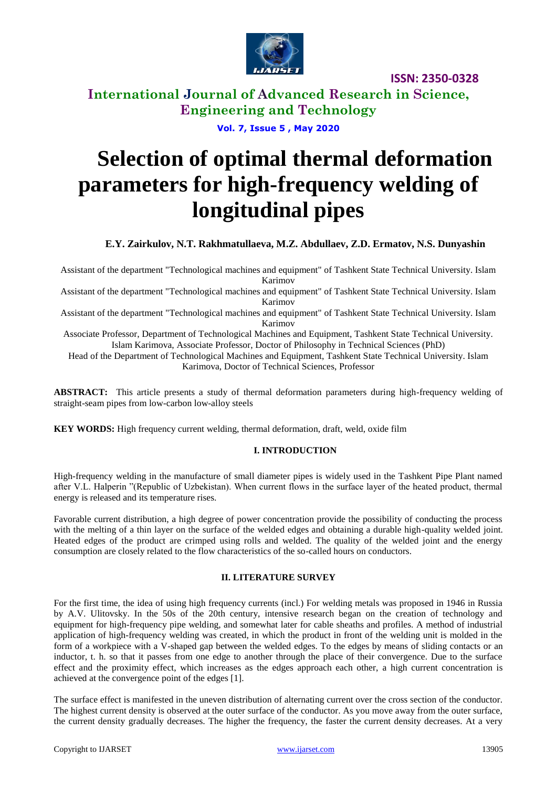

**International Journal of Advanced Research in Science, Engineering and Technology**

**Vol. 7, Issue 5 , May 2020**

# **Selection of optimal thermal deformation parameters for high-frequency welding of longitudinal pipes**

**E.Y. Zairkulov, N.T. Rakhmatullaeva, M.Z. Abdullaev, Z.D. Ermatov, N.S. Dunyashin**

Assistant of the department "Technological machines and equipment" of Tashkent State Technical University. Islam Karimov

Assistant of the department "Technological machines and equipment" of Tashkent State Technical University. Islam Karimov

Assistant of the department "Technological machines and equipment" of Tashkent State Technical University. Islam Karimov

Associate Professor, Department of Technological Machines and Equipment, Tashkent State Technical University. Islam Karimova, Associate Professor, Doctor of Philosophy in Technical Sciences (PhD)

Head of the Department of Technological Machines and Equipment, Tashkent State Technical University. Islam Karimova, Doctor of Technical Sciences, Professor

**ABSTRACT:** This article presents a study of thermal deformation parameters during high-frequency welding of straight-seam pipes from low-carbon low-alloy steels

**KEY WORDS:** High frequency current welding, thermal deformation, draft, weld, oxide film

#### **I. INTRODUCTION**

High-frequency welding in the manufacture of small diameter pipes is widely used in the Tashkent Pipe Plant named after V.L. Halperin "(Republic of Uzbekistan). When current flows in the surface layer of the heated product, thermal energy is released and its temperature rises.

Favorable current distribution, a high degree of power concentration provide the possibility of conducting the process with the melting of a thin layer on the surface of the welded edges and obtaining a durable high-quality welded joint. Heated edges of the product are crimped using rolls and welded. The quality of the welded joint and the energy consumption are closely related to the flow characteristics of the so-called hours on conductors.

#### **II. LITERATURE SURVEY**

For the first time, the idea of using high frequency currents (incl.) For welding metals was proposed in 1946 in Russia by A.V. Ulitovsky. In the 50s of the 20th century, intensive research began on the creation of technology and equipment for high-frequency pipe welding, and somewhat later for cable sheaths and profiles. A method of industrial application of high-frequency welding was created, in which the product in front of the welding unit is molded in the form of a workpiece with a V-shaped gap between the welded edges. To the edges by means of sliding contacts or an inductor, t. h. so that it passes from one edge to another through the place of their convergence. Due to the surface effect and the proximity effect, which increases as the edges approach each other, a high current concentration is achieved at the convergence point of the edges [1].

The surface effect is manifested in the uneven distribution of alternating current over the cross section of the conductor. The highest current density is observed at the outer surface of the conductor. As you move away from the outer surface, the current density gradually decreases. The higher the frequency, the faster the current density decreases. At a very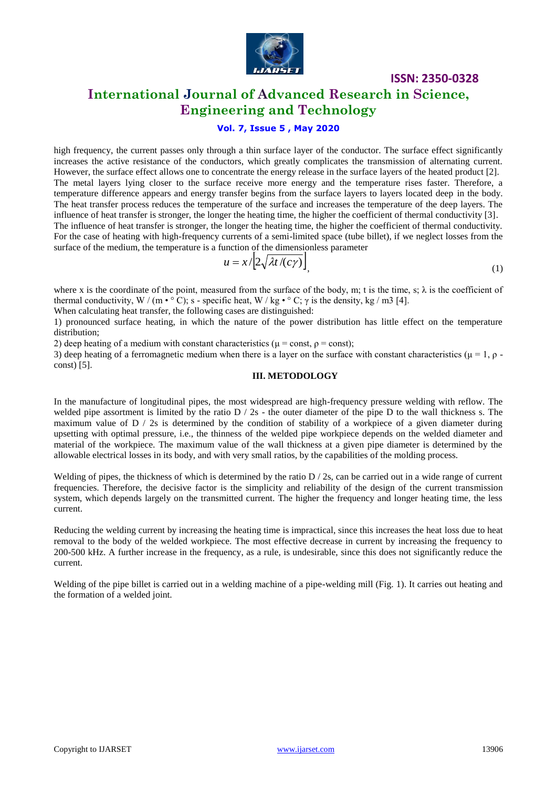

### **International Journal of Advanced Research in Science, Engineering and Technology**

#### **Vol. 7, Issue 5 , May 2020**

high frequency, the current passes only through a thin surface layer of the conductor. The surface effect significantly increases the active resistance of the conductors, which greatly complicates the transmission of alternating current. However, the surface effect allows one to concentrate the energy release in the surface layers of the heated product [2]. The metal layers lying closer to the surface receive more energy and the temperature rises faster. Therefore, a temperature difference appears and energy transfer begins from the surface layers to layers located deep in the body. The heat transfer process reduces the temperature of the surface and increases the temperature of the deep layers. The influence of heat transfer is stronger, the longer the heating time, the higher the coefficient of thermal conductivity [3]. The influence of heat transfer is stronger, the longer the heating time, the higher the coefficient of thermal conductivity. For the case of heating with high-frequency currents of a semi-limited space (tube billet), if we neglect losses from the surface of the medium, the temperature is a function of the dimensionless parameter

$$
u = x/\left[2\sqrt{\lambda t/(c\gamma)}\right] \tag{1}
$$

where x is the coordinate of the point, measured from the surface of the body, m; t is the time, s;  $\lambda$  is the coefficient of thermal conductivity, W / (m  $\cdot \circ C$ ); s - specific heat, W / kg  $\cdot \circ C$ ;  $\gamma$  is the density, kg / m3 [4].

When calculating heat transfer, the following cases are distinguished:

1) pronounced surface heating, in which the nature of the power distribution has little effect on the temperature distribution;

2) deep heating of a medium with constant characteristics ( $\mu$  = const,  $\rho$  = const);

3) deep heating of a ferromagnetic medium when there is a layer on the surface with constant characteristics ( $\mu = 1$ ,  $\rho$ . const) [5].

#### **III. METODOLOGY**

In the manufacture of longitudinal pipes, the most widespread are high-frequency pressure welding with reflow. The welded pipe assortment is limited by the ratio  $D / 2s$  - the outer diameter of the pipe D to the wall thickness s. The maximum value of  $D / 2s$  is determined by the condition of stability of a workpiece of a given diameter during upsetting with optimal pressure, i.e., the thinness of the welded pipe workpiece depends on the welded diameter and material of the workpiece. The maximum value of the wall thickness at a given pipe diameter is determined by the allowable electrical losses in its body, and with very small ratios, by the capabilities of the molding process.

Welding of pipes, the thickness of which is determined by the ratio  $D / 2s$ , can be carried out in a wide range of current frequencies. Therefore, the decisive factor is the simplicity and reliability of the design of the current transmission system, which depends largely on the transmitted current. The higher the frequency and longer heating time, the less current.

Reducing the welding current by increasing the heating time is impractical, since this increases the heat loss due to heat removal to the body of the welded workpiece. The most effective decrease in current by increasing the frequency to 200-500 kHz. A further increase in the frequency, as a rule, is undesirable, since this does not significantly reduce the current.

Welding of the pipe billet is carried out in a welding machine of a pipe-welding mill (Fig. 1). It carries out heating and the formation of a welded joint.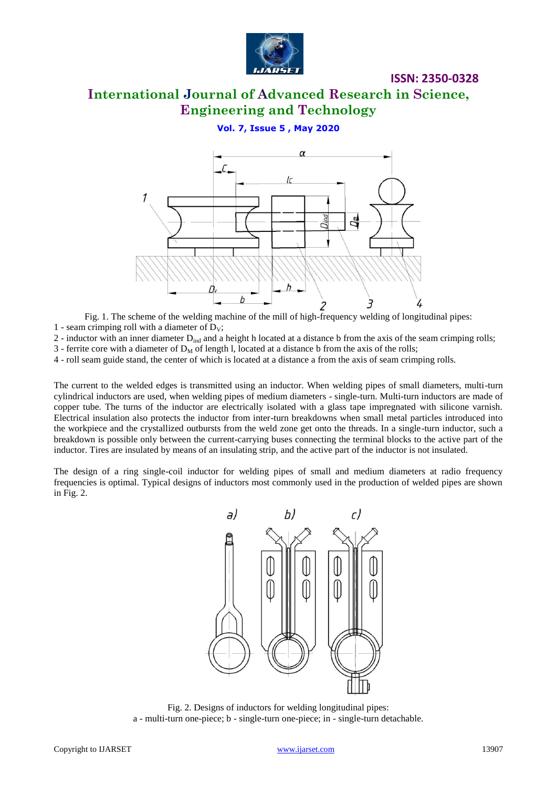

# **International Journal of Advanced Research in Science, Engineering and Technology**

#### **Vol. 7, Issue 5 , May 2020**



Fig. 1. The scheme of the welding machine of the mill of high-frequency welding of longitudinal pipes: 1 - seam crimping roll with a diameter of  $D_V$ ;

 $2$  - inductor with an inner diameter  $D_{ind}$  and a height h located at a distance b from the axis of the seam crimping rolls;

3 - ferrite core with a diameter of  $D_M$  of length l, located at a distance b from the axis of the rolls;

4 - roll seam guide stand, the center of which is located at a distance a from the axis of seam crimping rolls.

The current to the welded edges is transmitted using an inductor. When welding pipes of small diameters, multi-turn cylindrical inductors are used, when welding pipes of medium diameters - single-turn. Multi-turn inductors are made of copper tube. The turns of the inductor are electrically isolated with a glass tape impregnated with silicone varnish. Electrical insulation also protects the inductor from inter-turn breakdowns when small metal particles introduced into the workpiece and the crystallized outbursts from the weld zone get onto the threads. In a single-turn inductor, such a breakdown is possible only between the current-carrying buses connecting the terminal blocks to the active part of the inductor. Tires are insulated by means of an insulating strip, and the active part of the inductor is not insulated.

The design of a ring single-coil inductor for welding pipes of small and medium diameters at radio frequency frequencies is optimal. Typical designs of inductors most commonly used in the production of welded pipes are shown in Fig. 2.



Fig. 2. Designs of inductors for welding longitudinal pipes: a - multi-turn one-piece; b - single-turn one-piece; in - single-turn detachable.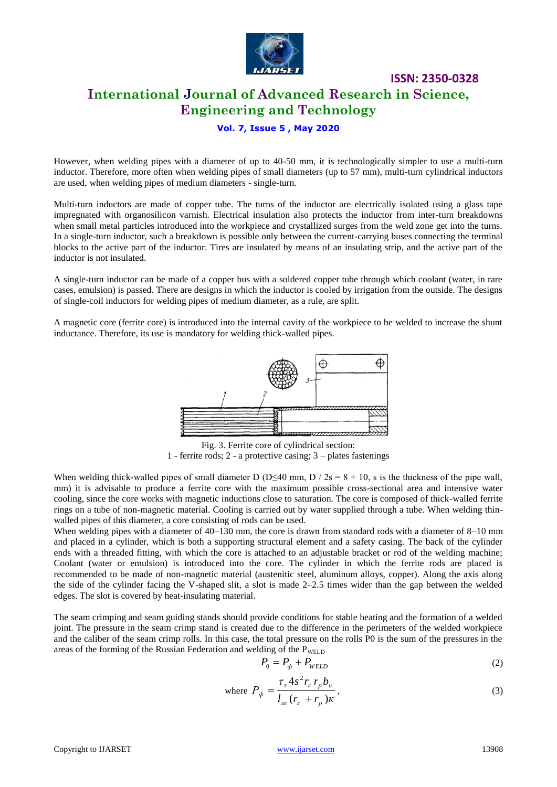

# **International Journal of Advanced Research in Science, Engineering and Technology**

**ISSN: 2350-0328**

#### **Vol. 7, Issue 5 , May 2020**

However, when welding pipes with a diameter of up to 40-50 mm, it is technologically simpler to use a multi-turn inductor. Therefore, more often when welding pipes of small diameters (up to 57 mm), multi-turn cylindrical inductors are used, when welding pipes of medium diameters - single-turn.

Multi-turn inductors are made of copper tube. The turns of the inductor are electrically isolated using a glass tape impregnated with organosilicon varnish. Electrical insulation also protects the inductor from inter-turn breakdowns when small metal particles introduced into the workpiece and crystallized surges from the weld zone get into the turns. In a single-turn inductor, such a breakdown is possible only between the current-carrying buses connecting the terminal blocks to the active part of the inductor. Tires are insulated by means of an insulating strip, and the active part of the inductor is not insulated.

A single-turn inductor can be made of a copper bus with a soldered copper tube through which coolant (water, in rare cases, emulsion) is passed. There are designs in which the inductor is cooled by irrigation from the outside. The designs of single-coil inductors for welding pipes of medium diameter, as a rule, are split.

A magnetic core (ferrite core) is introduced into the internal cavity of the workpiece to be welded to increase the shunt inductance. Therefore, its use is mandatory for welding thick-walled pipes.



Fig. 3. Ferrite core of cylindrical section: 1 - ferrite rods; 2 - a protective casing; 3 – plates fastenings

When welding thick-walled pipes of small diameter D (D $\leq$ 40 mm, D / 2s = 8 ÷ 10, s is the thickness of the pipe wall, mm) it is advisable to produce a ferrite core with the maximum possible cross-sectional area and intensive water cooling, since the core works with magnetic inductions close to saturation. The core is composed of thick-walled ferrite rings on a tube of non-magnetic material. Cooling is carried out by water supplied through a tube. When welding thinwalled pipes of this diameter, a core consisting of rods can be used.

When welding pipes with a diameter of 40–130 mm, the core is drawn from standard rods with a diameter of 8–10 mm and placed in a cylinder, which is both a supporting structural element and a safety casing. The back of the cylinder ends with a threaded fitting, with which the core is attached to an adjustable bracket or rod of the welding machine; Coolant (water or emulsion) is introduced into the core. The cylinder in which the ferrite rods are placed is recommended to be made of non-magnetic material (austenitic steel, aluminum alloys, copper). Along the axis along the side of the cylinder facing the V-shaped slit, a slot is made 2–2.5 times wider than the gap between the welded edges. The slot is covered by heat-insulating material.

The seam crimping and seam guiding stands should provide conditions for stable heating and the formation of a welded joint. The pressure in the seam crimp stand is created due to the difference in the perimeters of the welded workpiece and the caliber of the seam crimp rolls. In this case, the total pressure on the rolls P0 is the sum of the pressures in the areas of the forming of the Russian Federation and welding of the  $P_{WELD}$ 

 $\mathbf{w}$ 

$$
P_0 = P_{\phi} + P_{WELD} \tag{2}
$$

here 
$$
P_{\phi} = \frac{\tau_s 4s^2 r_{\kappa} r_p b_{\kappa}}{l_{\kappa\kappa} (r_{\kappa} + r_p) \kappa},
$$
 (3)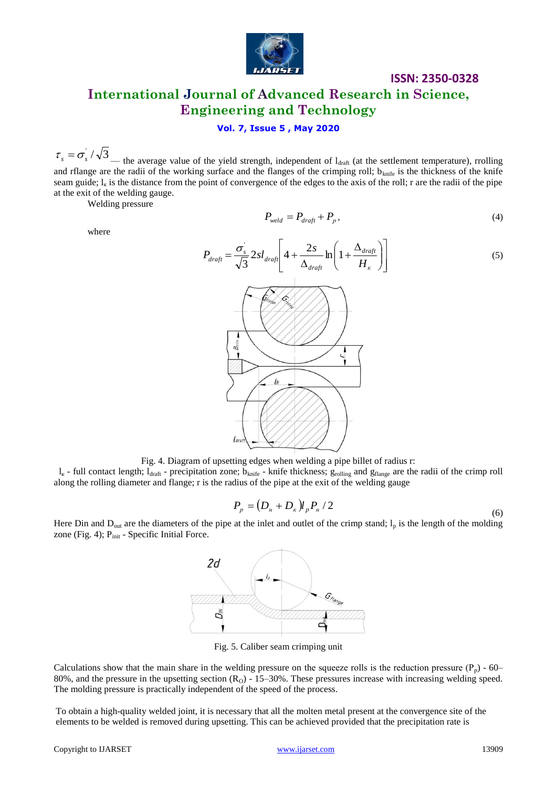

# **ISSN: 2350-0328 International Journal of Advanced Research in Science, Engineering and Technology**

#### **Vol. 7, Issue 5 , May 2020**

 $\tau_s = \sigma_s / \sqrt{3}$  the average value of the yield strength, independent of l<sub>draft</sub> (at the settlement temperature), rrolling and rflange are the radii of the working surface and the flanges of the crimping roll;  $b_{\text{knife}}$  is the thickness of the knife seam guide;  $l_{k}$  is the distance from the point of convergence of the edges to the axis of the roll; r are the radii of the pipe at the exit of the welding gauge.

Welding pressure

where

$$
P_{\text{weld}} = P_{\text{draff}} + P_p,\tag{4}
$$



Fig. 4. Diagram of upsetting edges when welding a pipe billet of radius r:

 $l_{\kappa}$  - full contact length;  $l_{\text{draft}}$  - precipitation zone;  $b_{\text{knife}}$  - knife thickness;  $g_{\text{rolling}}$  and  $g_{\text{flange}}$  are the radii of the crimp roll along the rolling diameter and flange; r is the radius of the pipe at the exit of the welding gauge

$$
P_p = (D_n + D_k) l_p P_n / 2
$$
\n(6)

Here Din and  $D_{out}$  are the diameters of the pipe at the inlet and outlet of the crimp stand;  $I_p$  is the length of the molding zone (Fig. 4);  $P_{init}$  - Specific Initial Force.



Fig. 5. Caliber seam crimping unit

Calculations show that the main share in the welding pressure on the squeeze rolls is the reduction pressure  $(P_p)$  - 60– 80%, and the pressure in the upsetting section  $(R<sub>O</sub>)$  - 15–30%. These pressures increase with increasing welding speed. The molding pressure is practically independent of the speed of the process.

To obtain a high-quality welded joint, it is necessary that all the molten metal present at the convergence site of the elements to be welded is removed during upsetting. This can be achieved provided that the precipitation rate is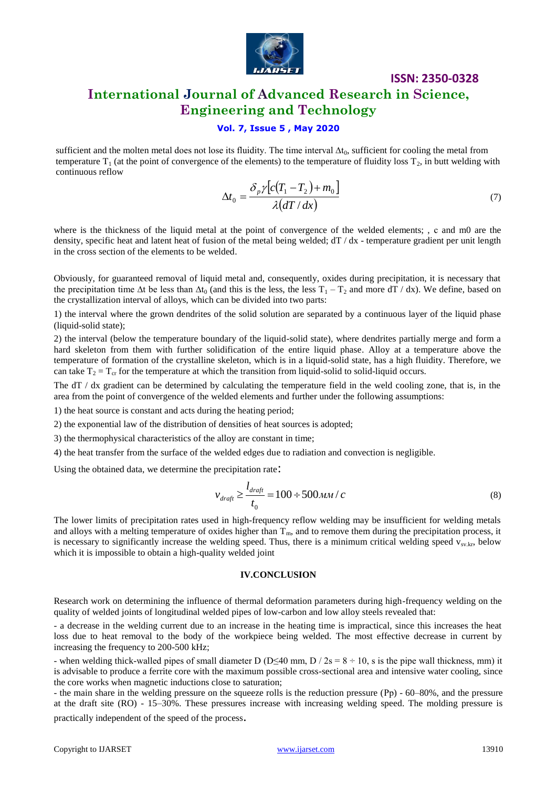

# **International Journal of Advanced Research in Science, Engineering and Technology**

#### **Vol. 7, Issue 5 , May 2020**

sufficient and the molten metal does not lose its fluidity. The time interval ∆t<sub>0</sub>, sufficient for cooling the metal from temperature  $T_1$  (at the point of convergence of the elements) to the temperature of fluidity loss  $T_2$ , in butt welding with continuous reflow

$$
\Delta t_0 = \frac{\delta_p \gamma [c(T_1 - T_2) + m_0]}{\lambda (dT / dx)}\tag{7}
$$

**ISSN: 2350-0328**

where is the thickness of the liquid metal at the point of convergence of the welded elements; , c and m0 are the density, specific heat and latent heat of fusion of the metal being welded;  $dT/dx$  - temperature gradient per unit length in the cross section of the elements to be welded.

Obviously, for guaranteed removal of liquid metal and, consequently, oxides during precipitation, it is necessary that the precipitation time  $\Delta t$  be less than  $\Delta t_0$  (and this is the less, the less T<sub>1</sub> – T<sub>2</sub> and more dT / dx). We define, based on the crystallization interval of alloys, which can be divided into two parts:

1) the interval where the grown dendrites of the solid solution are separated by a continuous layer of the liquid phase (liquid-solid state);

2) the interval (below the temperature boundary of the liquid-solid state), where dendrites partially merge and form a hard skeleton from them with further solidification of the entire liquid phase. Alloy at a temperature above the temperature of formation of the crystalline skeleton, which is in a liquid-solid state, has a high fluidity. Therefore, we can take  $T_2 = T_{cr}$  for the temperature at which the transition from liquid-solid to solid-liquid occurs.

The dT / dx gradient can be determined by calculating the temperature field in the weld cooling zone, that is, in the area from the point of convergence of the welded elements and further under the following assumptions:

1) the heat source is constant and acts during the heating period;

2) the exponential law of the distribution of densities of heat sources is adopted;

3) the thermophysical characteristics of the alloy are constant in time;

4) the heat transfer from the surface of the welded edges due to radiation and convection is negligible.

Using the obtained data, we determine the precipitation rate:

$$
v_{\text{drafi}} \ge \frac{l_{\text{drafi}}}{t_0} = 100 \div 500 \text{mm} / c \tag{8}
$$

The lower limits of precipitation rates used in high-frequency reflow welding may be insufficient for welding metals and alloys with a melting temperature of oxides higher than  $T_m$ , and to remove them during the precipitation process, it is necessary to significantly increase the welding speed. Thus, there is a minimum critical welding speed  $v_{sv,kr}$ , below which it is impossible to obtain a high-quality welded joint

#### **IV.CONCLUSION**

Research work on determining the influence of thermal deformation parameters during high-frequency welding on the quality of welded joints of longitudinal welded pipes of low-carbon and low alloy steels revealed that:

- a decrease in the welding current due to an increase in the heating time is impractical, since this increases the heat loss due to heat removal to the body of the workpiece being welded. The most effective decrease in current by increasing the frequency to 200-500 kHz;

- when welding thick-walled pipes of small diameter D (D<40 mm, D / 2s =  $8 \div 10$ , s is the pipe wall thickness, mm) it is advisable to produce a ferrite core with the maximum possible cross-sectional area and intensive water cooling, since the core works when magnetic inductions close to saturation;

- the main share in the welding pressure on the squeeze rolls is the reduction pressure (Рр) - 60–80%, and the pressure at the draft site (RO) - 15–30%. These pressures increase with increasing welding speed. The molding pressure is

practically independent of the speed of the process.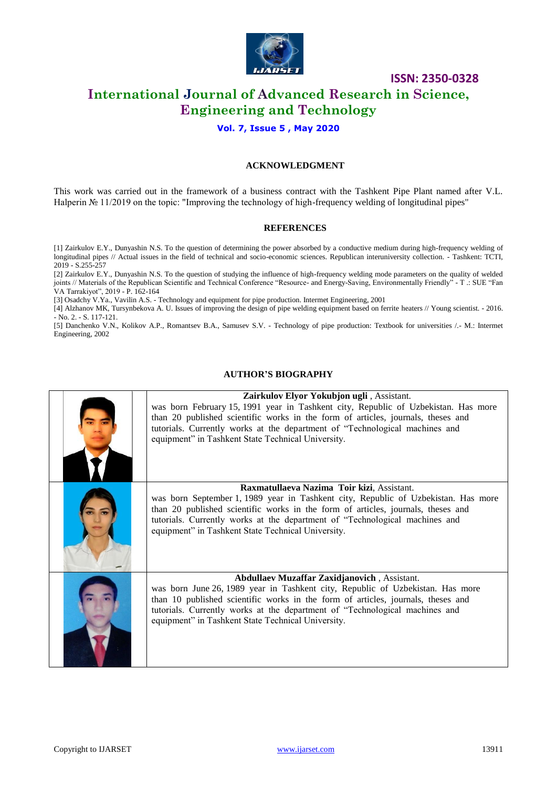

## **International Journal of Advanced Research in Science, Engineering and Technology**

#### **Vol. 7, Issue 5 , May 2020**

#### **ACKNOWLEDGMENT**

This work was carried out in the framework of a business contract with the Tashkent Pipe Plant named after V.L. Halperin № 11/2019 on the topic: "Improving the technology of high-frequency welding of longitudinal pipes"

#### **REFERENCES**

[1] Zairkulov E.Y., Dunyashin N.S. To the question of determining the power absorbed by a conductive medium during high-frequency welding of longitudinal pipes // Actual issues in the field of technical and socio-economic sciences. Republican interuniversity collection. - Tashkent: TCTI, 2019 - S.255-257

[2] Zairkulov E.Y., Dunyashin N.S. To the question of studying the influence of high-frequency welding mode parameters on the quality of welded joints // Materials of the Republican Scientific and Technical Conference "Resource- and Energy-Saving, Environmentally Friendly" - T .: SUE "Fan VA Tarrakiyot", 2019 - P. 162-164

[3] Osadchy V.Ya., Vavilin A.S. - Technology and equipment for pipe production. Intermet Engineering, 2001

[4] Alzhanov MK, Tursynbekova A. U. Issues of improving the design of pipe welding equipment based on ferrite heaters // Young scientist. - 2016. - No. 2. - S. 117-121.

[5] Danchenko V.N., Kolikov A.P., Romantsev B.A., Samusev S.V. - Technology of pipe production: Textbook for universities /.- M.: Intermet Engineering, 2002

#### **AUTHOR'S BIOGRAPHY**

| Zairkulov Elyor Yokubjon ugli, Assistant.<br>was born February 15, 1991 year in Tashkent city, Republic of Uzbekistan. Has more<br>than 20 published scientific works in the form of articles, journals, theses and<br>tutorials. Currently works at the department of "Technological machines and<br>equipment" in Tashkent State Technical University.  |
|-----------------------------------------------------------------------------------------------------------------------------------------------------------------------------------------------------------------------------------------------------------------------------------------------------------------------------------------------------------|
|                                                                                                                                                                                                                                                                                                                                                           |
| Raxmatullaeva Nazima Toir kizi, Assistant.<br>was born September 1, 1989 year in Tashkent city, Republic of Uzbekistan. Has more<br>than 20 published scientific works in the form of articles, journals, theses and<br>tutorials. Currently works at the department of "Technological machines and<br>equipment" in Tashkent State Technical University. |
| Abdullaev Muzaffar Zaxidjanovich, Assistant.<br>was born June 26, 1989 year in Tashkent city, Republic of Uzbekistan. Has more<br>than 10 published scientific works in the form of articles, journals, theses and<br>tutorials. Currently works at the department of "Technological machines and<br>equipment" in Tashkent State Technical University.   |